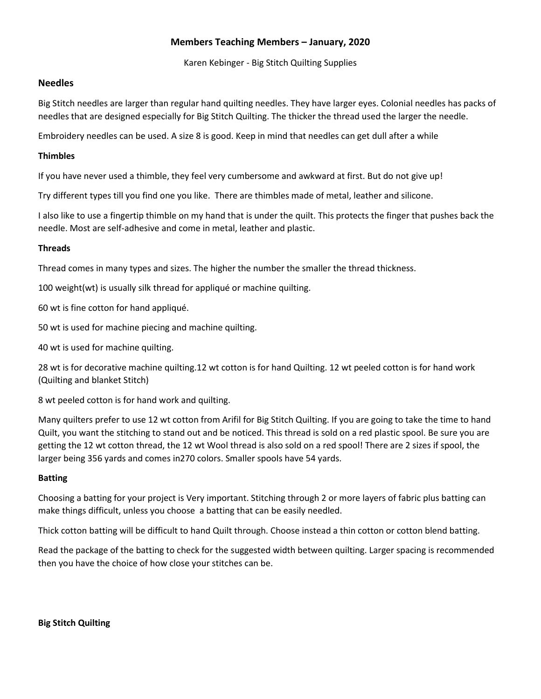# **Members Teaching Members – January, 2020**

Karen Kebinger - Big Stitch Quilting Supplies

# **Needles**

Big Stitch needles are larger than regular hand quilting needles. They have larger eyes. Colonial needles has packs of needles that are designed especially for Big Stitch Quilting. The thicker the thread used the larger the needle.

Embroidery needles can be used. A size 8 is good. Keep in mind that needles can get dull after a while

#### **Thimbles**

If you have never used a thimble, they feel very cumbersome and awkward at first. But do not give up!

Try different types till you find one you like. There are thimbles made of metal, leather and silicone.

I also like to use a fingertip thimble on my hand that is under the quilt. This protects the finger that pushes back the needle. Most are self-adhesive and come in metal, leather and plastic.

#### **Threads**

Thread comes in many types and sizes. The higher the number the smaller the thread thickness.

100 weight(wt) is usually silk thread for appliqué or machine quilting.

60 wt is fine cotton for hand appliqué.

50 wt is used for machine piecing and machine quilting.

40 wt is used for machine quilting.

28 wt is for decorative machine quilting.12 wt cotton is for hand Quilting. 12 wt peeled cotton is for hand work (Quilting and blanket Stitch)

8 wt peeled cotton is for hand work and quilting.

Many quilters prefer to use 12 wt cotton from Arifil for Big Stitch Quilting. If you are going to take the time to hand Quilt, you want the stitching to stand out and be noticed. This thread is sold on a red plastic spool. Be sure you are getting the 12 wt cotton thread, the 12 wt Wool thread is also sold on a red spool! There are 2 sizes if spool, the larger being 356 yards and comes in270 colors. Smaller spools have 54 yards.

# **Batting**

Choosing a batting for your project is Very important. Stitching through 2 or more layers of fabric plus batting can make things difficult, unless you choose a batting that can be easily needled.

Thick cotton batting will be difficult to hand Quilt through. Choose instead a thin cotton or cotton blend batting.

Read the package of the batting to check for the suggested width between quilting. Larger spacing is recommended then you have the choice of how close your stitches can be.

**Big Stitch Quilting**